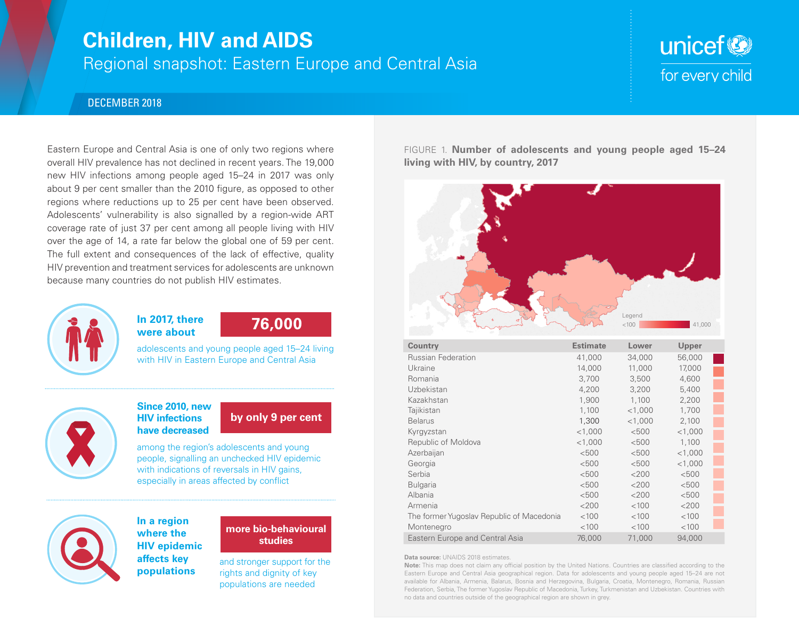## **Children, HIV and AIDS**

Regional snapshot: Eastern Europe and Central Asia

# unicef<sup>(2)</sup> for every child

### DECEMBER 2018

Eastern Europe and Central Asia is one of only two regions where overall HIV prevalence has not declined in recent years. The 19,000 new HIV infections among people aged 15–24 in 2017 was only about 9 per cent smaller than the 2010 figure, as opposed to other regions where reductions up to 25 per cent have been observed. Adolescents' vulnerability is also signalled by a region-wide ART coverage rate of just 37 per cent among all people living with HIV over the age of 14, a rate far below the global one of 59 per cent. The full extent and consequences of the lack of effective, quality HIV prevention and treatment services for adolescents are unknown because many countries do not publish HIV estimates.



### **In 2017, there were about 76,000**

adolescents and young people aged 15–24 living with HIV in Eastern Europe and Central Asia

### **Since 2010, new HIV infections have decreased**

## **by only 9 per cent**

among the region's adolescents and young people, signalling an unchecked HIV epidemic with indications of reversals in HIV gains, especially in areas affected by conflict



### **In a region where the HIV epidemic affects key populations**

### **more bio-behavioural studies**

and stronger support for the rights and dignity of key populations are needed

FIGURE 1. **Number of adolescents and young people aged 15–24 living with HIV, by country, 2017**



| <b>Country</b>                            | <b>Estimate</b> | Lower     | Upper     |  |
|-------------------------------------------|-----------------|-----------|-----------|--|
| <b>Russian Federation</b>                 | 41,000          | 34,000    | 56,000    |  |
| Ukraine                                   | 14,000          | 11,000    | 17,000    |  |
| Romania                                   | 3,700           | 3,500     | 4,600     |  |
| Uzbekistan                                | 4,200           | 3,200     | 5,400     |  |
| Kazakhstan                                | 1,900           | 1,100     | 2,200     |  |
| Tajikistan                                | 1,100           | $<$ 1,000 | 1,700     |  |
| <b>Belarus</b>                            | 1,300           | $<$ 1,000 | 2,100     |  |
| Kyrgyzstan                                | $<$ 1,000       | < 500     | $<$ 1,000 |  |
| Republic of Moldova                       | $<$ 1,000       | < 500     | 1,100     |  |
| Azerbaijan                                | < 500           | < 500     | $<$ 1,000 |  |
| Georgia                                   | < 500           | < 500     | $<$ 1,000 |  |
| Serbia                                    | < 500           | <200      | < 500     |  |
| <b>Bulgaria</b>                           | < 500           | $<$ 200   | < 500     |  |
| Albania                                   | < 500           | $<$ 200   | < 500     |  |
| Armenia                                   | $<$ 200         | < 100     | $<$ 200   |  |
| The former Yugoslav Republic of Macedonia | < 100           | < 100     | < 100     |  |
| Montenegro                                | < 100           | < 100     | < 100     |  |
| Eastern Europe and Central Asia           | 76,000          | 71,000    | 94.000    |  |

**Data source:** UNAIDS 2018 estimates.

**Note:** This map does not claim any official position by the United Nations. Countries are classified according to the Eastern Europe and Central Asia geographical region. Data for adolescents and young people aged 15–24 are not available for Albania, Armenia, Balarus, Bosnia and Herzegovina, Bulgaria, Croatia, Montenegro, Romania, Russian Federation, Serbia, The former Yugoslav Republic of Macedonia, Turkey, Turkmenistan and Uzbekistan. Countries with no data and countries outside of the geographical region are shown in grey.